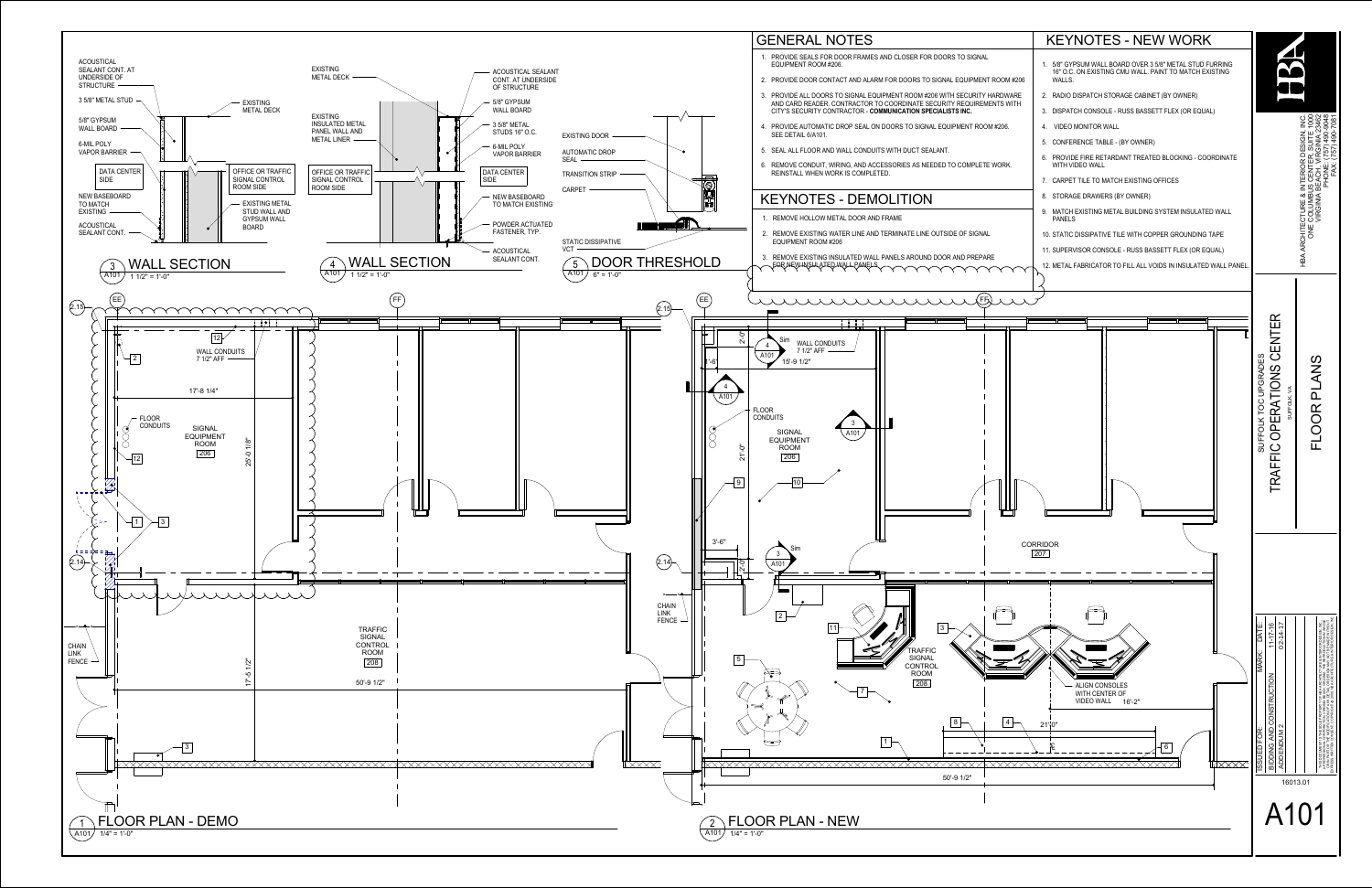